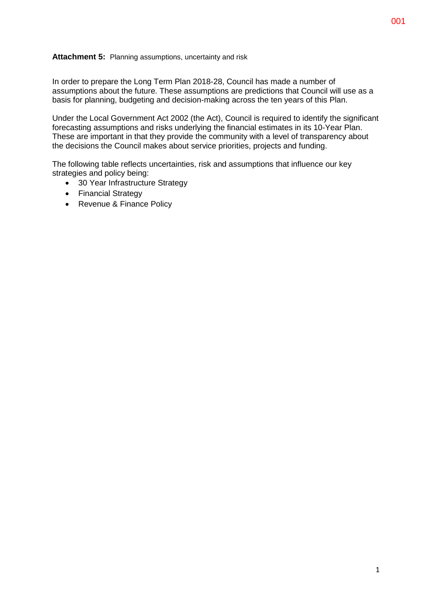## **Attachment 5:** Planning assumptions, uncertainty and risk

In order to prepare the Long Term Plan 2018-28, Council has made a number of assumptions about the future. These assumptions are predictions that Council will use as a basis for planning, budgeting and decision-making across the ten years of this Plan.

Under the Local Government Act 2002 (the Act), Council is required to identify the significant forecasting assumptions and risks underlying the financial estimates in its 10-Year Plan. These are important in that they provide the community with a level of transparency about the decisions the Council makes about service priorities, projects and funding.

The following table reflects uncertainties, risk and assumptions that influence our key strategies and policy being:

- 30 Year Infrastructure Strategy
- Financial Strategy
- Revenue & Finance Policy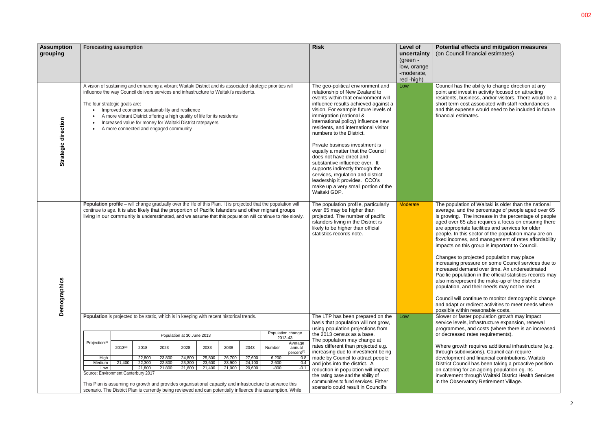| Potential effects and mitigation measures |  |
|-------------------------------------------|--|
| (on Council financial estimates)          |  |

the ability to change direction at any ivest in activity focused on attracting  $a$ usiness, and/or visitors. There would be a cost associated with staff redundancies pense would need to be included in future timates.

tion of Waitaki is older than the national ad the percentage of people aged over 65 The increase in the percentage of people 35 also requires a focus on ensuring there riate facilities and services for older his sector of the population many are on les, and management of rates affordability this group is important to Council.

projected population may place rius sure on some Council services due to lemand over time. An underestimated ulation in the official statistics records may resent the make-up of the district's and their needs may not be met.

continue to monitor demographic change or redirect activities to meet needs where thin reasonable costs.

aster population growth may impact els, infrastructure expansion, renewal es, and costs (where there is an increased ed rates requirements).

wth requires additional infrastructure (e.g. odivisions), Council can require nt and financial contributions. Waitaki Incil has been taking a proactive position for an ageing population eg. Its involvement through Waitaki District Health Services rvatory Retirement Village.

| <b>Assumption</b><br>grouping | <b>Forecasting assumption</b>                                                                                                                                                                                                                                                                                                                                                                                                                                                  |                                                                                                                                                                                                                                                                                                                                                     |                |                |                            |                |                |                |                                                                                                                                                                                                                                                                                                                                                                                                                                                                                                                                                                                                                                       |                                                    | <b>Risk</b>                                                                                                                                                                                                    | Level of<br>uncertainty<br>(green -<br>low, orange<br>-moderate,<br>red -high) | <b>Potential</b><br>(on Counci                                                                                                                                                                                                                                  |
|-------------------------------|--------------------------------------------------------------------------------------------------------------------------------------------------------------------------------------------------------------------------------------------------------------------------------------------------------------------------------------------------------------------------------------------------------------------------------------------------------------------------------|-----------------------------------------------------------------------------------------------------------------------------------------------------------------------------------------------------------------------------------------------------------------------------------------------------------------------------------------------------|----------------|----------------|----------------------------|----------------|----------------|----------------|---------------------------------------------------------------------------------------------------------------------------------------------------------------------------------------------------------------------------------------------------------------------------------------------------------------------------------------------------------------------------------------------------------------------------------------------------------------------------------------------------------------------------------------------------------------------------------------------------------------------------------------|----------------------------------------------------|----------------------------------------------------------------------------------------------------------------------------------------------------------------------------------------------------------------|--------------------------------------------------------------------------------|-----------------------------------------------------------------------------------------------------------------------------------------------------------------------------------------------------------------------------------------------------------------|
| Strategic direction           | A vision of sustaining and enhancing a vibrant Waitaki District and its associated strategic priorities will<br>influence the way Council delivers services and infrastructure to Waitaki's residents.<br>The four strategic goals are:<br>Improved economic sustainability and resilience<br>A more vibrant District offering a high quality of life for its residents<br>Increased value for money for Waitaki District ratepayers<br>A more connected and engaged community |                                                                                                                                                                                                                                                                                                                                                     |                |                |                            |                |                |                | The geo-political environment and<br>relationship of New Zealand to<br>events within that environment will<br>influence results achieved against a<br>vision. For example future levels of<br>immigration (national &<br>international policy) influence new<br>residents, and international visitor<br>numbers to the District.<br>Private business investment is<br>equally a matter that the Council<br>does not have direct and<br>substantive influence over. It<br>supports indirectly through the<br>services, regulation and district<br>leadership it provides. CCO's<br>make up a very small portion of the<br>Waitaki GDP. | Low                                                | Council has<br>point and in<br>residents, b<br>short term o<br>and this exp<br>financial est                                                                                                                   |                                                                                |                                                                                                                                                                                                                                                                 |
| Demographics                  | Population profile - will change gradually over the life of this Plan. It is projected that the population will<br>continue to age. It is also likely that the proportion of Pacific Islanders and other migrant groups<br>living in our community is underestimated, and we assume that this population will continue to rise slowly.                                                                                                                                         |                                                                                                                                                                                                                                                                                                                                                     |                |                |                            |                |                |                |                                                                                                                                                                                                                                                                                                                                                                                                                                                                                                                                                                                                                                       |                                                    | The population profile, particularly<br>over 65 may be higher than<br>projected. The number of pacific<br>islanders living in the District is<br>likely to be higher than official<br>statistics records note. | <b>Moderate</b>                                                                | The populat<br>average, an<br>is growing.<br>aged over 6<br>are appropr<br>people. In th<br>fixed incom<br>impacts on<br>Changes to<br>increasing p<br>increased d<br>Pacific popu<br>also misrep<br>population,<br>Council will<br>and adapt o<br>possible wit |
|                               |                                                                                                                                                                                                                                                                                                                                                                                                                                                                                | Population is projected to be static, which is in keeping with recent historical trends.                                                                                                                                                                                                                                                            |                |                |                            |                |                |                |                                                                                                                                                                                                                                                                                                                                                                                                                                                                                                                                                                                                                                       |                                                    | The LTP has been prepared on the<br>basis that population will not grow,<br>using population projections from                                                                                                  | Low                                                                            | Slower or fa<br>service leve<br>programme                                                                                                                                                                                                                       |
|                               |                                                                                                                                                                                                                                                                                                                                                                                                                                                                                |                                                                                                                                                                                                                                                                                                                                                     |                |                | Population at 30 June 2013 |                |                |                |                                                                                                                                                                                                                                                                                                                                                                                                                                                                                                                                                                                                                                       | Population change<br>2013-43                       | the 2013 census as a base.<br>The population may change at                                                                                                                                                     |                                                                                | or decrease                                                                                                                                                                                                                                                     |
|                               | Projection <sup>(2)</sup><br>High                                                                                                                                                                                                                                                                                                                                                                                                                                              | $2013^{(3)}$                                                                                                                                                                                                                                                                                                                                        | 2018<br>22,800 | 2023<br>23,800 | 2028<br>24,800             | 2033<br>25,800 | 2038<br>26,700 | 2043<br>27,600 | Number<br>6,200                                                                                                                                                                                                                                                                                                                                                                                                                                                                                                                                                                                                                       | Average<br>annual<br>percent <sup>(5)</sup><br>0.8 | rates different than projected e.g.<br>increasing due to investment being<br>made by Council to attract people                                                                                                 |                                                                                | Where grow<br>through sub<br>developmer                                                                                                                                                                                                                         |
|                               | Medium                                                                                                                                                                                                                                                                                                                                                                                                                                                                         | 21,400                                                                                                                                                                                                                                                                                                                                              | 22,300         | 22,800         | 23,300                     | 23,600         | 23,900         | 24,100         | 2,600                                                                                                                                                                                                                                                                                                                                                                                                                                                                                                                                                                                                                                 | 0.4                                                | and jobs into the district. A                                                                                                                                                                                  |                                                                                | <b>District Cou</b>                                                                                                                                                                                                                                             |
|                               |                                                                                                                                                                                                                                                                                                                                                                                                                                                                                | 21,800<br>21,600<br>21,400<br>Low<br>21,800<br>21,000<br>20,600<br>-800<br>$-0.1$<br>Source: Environment Canterbury 2017<br>This Plan is assuming no growth and provides organisational capacity and infrastructure to advance this<br>scenario. The District Plan is currently being reviewed and can potentially influence this assumption. While |                |                |                            |                |                |                |                                                                                                                                                                                                                                                                                                                                                                                                                                                                                                                                                                                                                                       |                                                    | reduction in population will impact<br>the rating base and the ability of<br>communities to fund services. Either<br>scenario could result in Council's                                                        |                                                                                | on catering<br>involvement<br>in the Obset                                                                                                                                                                                                                      |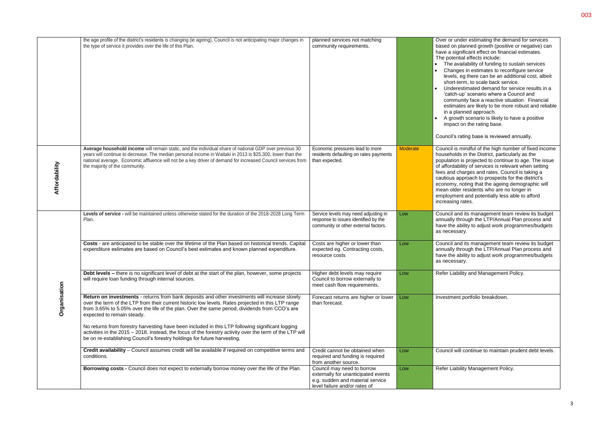|               | the age profile of the district's residents is changing (ie ageing), Council is not anticipating major changes in<br>the type of service it provides over the life of this Plan.                                                                                                                                                                                      | planned services not matching<br>community requirements.                                                                               |                 | Over or under estimating the demand for services<br>based on planned growth (positive or negative) can<br>have a significant effect on financial estimates.<br>The potential effects include:<br>• The availability of funding to sustain services<br>Changes in estimates to reconfigure service<br>levels, eg there can be an additional cost, albeit<br>short-term, to scale back service.<br>Underestimated demand for service results in a<br>'catch-up' scenario where a Council and<br>community face a reactive situation. Financial<br>estimates are likely to be more robust and reliable<br>in a planned approach.<br>A growth scenario is likely to have a positive<br>impact on the rating base.<br>Council's rating base is reviewed annually. |
|---------------|-----------------------------------------------------------------------------------------------------------------------------------------------------------------------------------------------------------------------------------------------------------------------------------------------------------------------------------------------------------------------|----------------------------------------------------------------------------------------------------------------------------------------|-----------------|--------------------------------------------------------------------------------------------------------------------------------------------------------------------------------------------------------------------------------------------------------------------------------------------------------------------------------------------------------------------------------------------------------------------------------------------------------------------------------------------------------------------------------------------------------------------------------------------------------------------------------------------------------------------------------------------------------------------------------------------------------------|
| Affordability | Average household income will remain static, and the individual share of national GDP over previous 30<br>years will continue to decrease. The median personal income in Waitaki in 2013 is \$25,300, lower than the<br>national average. Economic affluence will not be a key driver of demand for increased Council services from<br>the majority of the community. | Economic pressures lead to more<br>residents defaulting on rates payments<br>than expected.                                            | <b>Moderate</b> | Council is mindful of the high number of fixed income<br>households in the District, particularly as the<br>population is projected to continue to age. The issue<br>of affordability of services is relevant when setting<br>fees and charges and rates. Council is taking a<br>cautious approach to prospects for the district's<br>economy, noting that the ageing demographic will<br>mean older residents who are no longer in<br>employment and potentially less able to afford<br>increasing rates.                                                                                                                                                                                                                                                   |
|               | Levels of service - will be maintained unless otherwise stated for the duration of the 2018-2028 Long Term<br>Plan.                                                                                                                                                                                                                                                   | Service levels may need adjusting in<br>response to issues identified by the<br>community or other external factors.                   | Low             | Council and its management team review its budget<br>annually through the LTP/Annual Plan process and<br>have the ability to adjust work programmes/budgets<br>as necessary.                                                                                                                                                                                                                                                                                                                                                                                                                                                                                                                                                                                 |
|               | Costs - are anticipated to be stable over the lifetime of the Plan based on historical trends. Capital<br>expenditure estimates are based on Council's best estimates and known planned expenditure.                                                                                                                                                                  | Costs are higher or lower than<br>expected eg. Contracting costs,<br>resource costs                                                    | Low             | Council and its management team review its budget<br>annually through the LTP/Annual Plan process and<br>have the ability to adjust work programmes/budgets<br>as necessary.                                                                                                                                                                                                                                                                                                                                                                                                                                                                                                                                                                                 |
|               | Debt levels - there is no significant level of debt at the start of the plan, however, some projects<br>will require loan funding through internal sources.                                                                                                                                                                                                           | Higher debt levels may require<br>Council to borrow externally to<br>meet cash flow requirements.                                      | Low             | Refer Liability and Management Policy.                                                                                                                                                                                                                                                                                                                                                                                                                                                                                                                                                                                                                                                                                                                       |
| Organisation  | Return on investments - returns from bank deposits and other investments will increase slowly<br>over the term of the LTP from their current historic low levels. Rates projected in this LTP range<br>from 3.65% to 5.05% over the life of the plan. Over the same period, dividends from CCO's are<br>expected to remain steady.                                    | Forecast returns are higher or lower<br>than forecast.                                                                                 | Low             | Investment portfolio breakdown.                                                                                                                                                                                                                                                                                                                                                                                                                                                                                                                                                                                                                                                                                                                              |
|               | No returns from forestry harvesting have been included in this LTP following significant logging<br>activities in the 2015 - 2018. Instead, the focus of the forestry activity over the term of the LTP will<br>be on re-establishing Council's forestry holdings for future harvesting.                                                                              |                                                                                                                                        |                 |                                                                                                                                                                                                                                                                                                                                                                                                                                                                                                                                                                                                                                                                                                                                                              |
|               | Credit availability - Council assumes credit will be available if required on competitive terms and<br>conditions.                                                                                                                                                                                                                                                    | Credit cannot be obtained when<br>required and funding is required<br>from another source.                                             | Low             | Council will continue to maintain prudent debt levels.                                                                                                                                                                                                                                                                                                                                                                                                                                                                                                                                                                                                                                                                                                       |
|               | Borrowing costs - Council does not expect to externally borrow money over the life of the Plan.                                                                                                                                                                                                                                                                       | Council may need to borrow<br>externally for unanticipated events<br>e.g. sudden and material service<br>level failure and/or rates of | Low             | Refer Liability Management Policy.                                                                                                                                                                                                                                                                                                                                                                                                                                                                                                                                                                                                                                                                                                                           |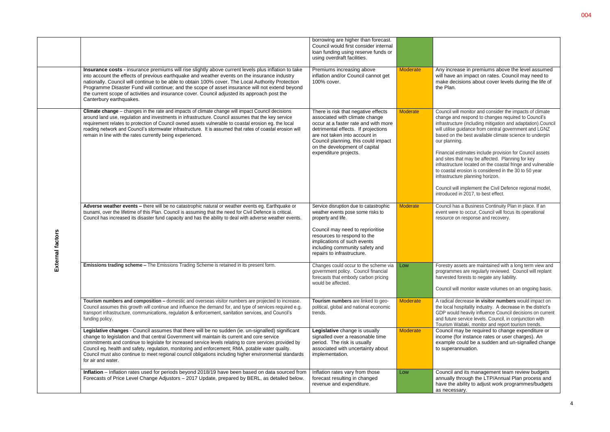|                 |                                                                                                                                                                                                                                                                                                                                                                                                                                                                                                                                                       | borrowing are higher than forecast.<br>Council would first consider internal<br>loan funding using reserve funds or<br>using overdraft facilities.                                                                                                                                     |                 |                                                                                                                                                                                                                                                                                                                                                                                                                                                                                                                                                                                                                                                                                                      |
|-----------------|-------------------------------------------------------------------------------------------------------------------------------------------------------------------------------------------------------------------------------------------------------------------------------------------------------------------------------------------------------------------------------------------------------------------------------------------------------------------------------------------------------------------------------------------------------|----------------------------------------------------------------------------------------------------------------------------------------------------------------------------------------------------------------------------------------------------------------------------------------|-----------------|------------------------------------------------------------------------------------------------------------------------------------------------------------------------------------------------------------------------------------------------------------------------------------------------------------------------------------------------------------------------------------------------------------------------------------------------------------------------------------------------------------------------------------------------------------------------------------------------------------------------------------------------------------------------------------------------------|
|                 | Insurance costs - insurance premiums will rise slightly above current levels plus inflation to take<br>into account the effects of previous earthquake and weather events on the insurance industry<br>nationally. Council will continue to be able to obtain 100% cover. The Local Authority Protection<br>Programme Disaster Fund will continue; and the scope of asset insurance will not extend beyond<br>the current scope of activities and insurance cover. Council adjusted its approach post the<br>Canterbury earthquakes.                  | Premiums increasing above<br>inflation and/or Council cannot get<br>100% cover.                                                                                                                                                                                                        | <b>Moderate</b> | Any increase in premiums above the level assumed<br>will have an impact on rates. Council may need to<br>make decisions about cover levels during the life of<br>the Plan.                                                                                                                                                                                                                                                                                                                                                                                                                                                                                                                           |
|                 | Climate change - changes in the rate and impacts of climate change will impact Council decisions<br>around land use, regulation and investments in infrastructure. Council assumes that the key service<br>requirement relates to protection of Council owned assets vulnerable to coastal erosion eg. the local<br>roading network and Council's stormwater infrastructure. It is assumed that rates of coastal erosion will<br>remain in line with the rates currently being experienced.                                                           | There is risk that negative effects<br>associated with climate change<br>occur at a faster rate and with more<br>detrimental effects. If projections<br>are not taken into account in<br>Council planning, this could impact<br>on the development of capital<br>expenditure projects. | Moderate        | Council will monitor and consider the impacts of climate<br>change and respond to changes required to Council's<br>infrastructure (including mitigation and adaptation).Council<br>will utilise guidance from central government and LGNZ<br>based on the best available climate science to underpin<br>our planning.<br>Financial estimates include provision for Council assets<br>and sites that may be affected. Planning for key<br>infrastructure located on the coastal fringe and vulnerable<br>to coastal erosion is considered in the 30 to 50 year<br>infrastructure planning horizon.<br>Council will implement the Civil Defence regional model,<br>introduced in 2017, to best effect. |
| tternal factors | Adverse weather events - there will be no catastrophic natural or weather events eg. Earthquake or<br>tsunami, over the lifetime of this Plan. Council is assuming that the need for Civil Defence is critical.<br>Council has increased its disaster fund capacity and has the ability to deal with adverse weather events.                                                                                                                                                                                                                          | Service disruption due to catastrophic<br>weather events pose some risks to<br>property and life.<br>Council may need to reprioritise<br>resources to respond to the<br>implications of such events<br>including community safety and<br>repairs to infrastructure.                    | <b>Moderate</b> | Council has a Business Continuity Plan in place. If an<br>event were to occur, Council will focus its operational<br>resource on response and recovery.                                                                                                                                                                                                                                                                                                                                                                                                                                                                                                                                              |
| ŵ               | Emissions trading scheme - The Emissions Trading Scheme is retained in its present form.                                                                                                                                                                                                                                                                                                                                                                                                                                                              | Changes could occur to the scheme via Low<br>government policy. Council financial<br>forecasts that embody carbon pricing<br>would be affected.                                                                                                                                        |                 | Forestry assets are maintained with a long term view and<br>programmes are regularly reviewed. Council will replant<br>harvested forests to negate any liability.<br>Council will monitor waste volumes on an ongoing basis.                                                                                                                                                                                                                                                                                                                                                                                                                                                                         |
|                 | Tourism numbers and composition - domestic and overseas visitor numbers are projected to increase.<br>Council assumes this growth will continue and influence the demand for, and type of services required e.g.<br>transport infrastructure, communications, regulation & enforcement, sanitation services, and Council's<br>funding policy.                                                                                                                                                                                                         | Tourism numbers are linked to geo-<br>political, global and national economic<br>trends.                                                                                                                                                                                               | <b>Moderate</b> | A radical decrease in visitor numbers would impact on<br>the local hospitality industry. A decrease in the district's<br>GDP would heavily influence Council decisions on current<br>and future service levels. Council, in conjunction with<br>Tourism Waitaki, monitor and report tourism trends.                                                                                                                                                                                                                                                                                                                                                                                                  |
|                 | Legislative changes - Council assumes that there will be no sudden (ie. un-signalled) significant<br>change to legislation and that central Government will maintain its current and core service<br>commitments and continue to legislate for increased service levels relating to core services provided by<br>Council eg. health and safety, regulation, monitoring and enforcement; RMA, potable water quality.<br>Council must also continue to meet regional council obligations including higher environmental standards<br>for air and water. | Legislative change is usually<br>signalled over a reasonable time<br>period. The risk is usually<br>associated with uncertainty about<br>implementation.                                                                                                                               | Moderate        | Council may be required to change expenditure or<br>income (for instance rates or user charges). An<br>example could be a sudden and un-signalled change<br>to superannuation.                                                                                                                                                                                                                                                                                                                                                                                                                                                                                                                       |
|                 | Inflation - Inflation rates used for periods beyond 2018/19 have been based on data sourced from<br>Forecasts of Price Level Change Adjustors - 2017 Update, prepared by BERL, as detailed below.                                                                                                                                                                                                                                                                                                                                                     | Inflation rates vary from those<br>forecast resulting in changed<br>revenue and expenditure.                                                                                                                                                                                           | Low             | Council and its management team review budgets<br>annually through the LTP/Annual Plan process and<br>have the ability to adjust work programmes/budgets<br>as necessary.                                                                                                                                                                                                                                                                                                                                                                                                                                                                                                                            |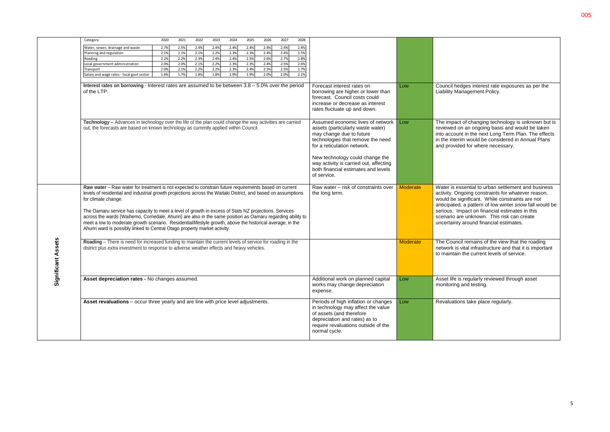| Low             | Council hedges interest rate exposures as per the<br>Liability Management Policy.                                                                                                                                                                                                                                                                                  |
|-----------------|--------------------------------------------------------------------------------------------------------------------------------------------------------------------------------------------------------------------------------------------------------------------------------------------------------------------------------------------------------------------|
| Low             | The impact of changing technology is unknown but is<br>reviewed on an ongoing basis and would be taken<br>into account in the next Long Term Plan. The effects<br>in the interim would be considered in Annual Plans<br>and provided for where necessary.                                                                                                          |
| <b>Moderate</b> | Water is essential to urban settlement and business<br>activity. Ongoing constraints for whatever reason,<br>would be significant. While constraints are not<br>anticipated, a pattern of low winter snow fall would be<br>serious. Impact on financial estimates in this<br>scenario are unknown. This risk can create<br>uncertainty around financial estimates. |
| <b>Moderate</b> | The Council remains of the view that the roading<br>network is vital infrastructure and that it is important<br>to maintain the current levels of service.                                                                                                                                                                                                         |
| Low             | Asset life is regularly reviewed through asset<br>monitoring and testing.                                                                                                                                                                                                                                                                                          |
| Low             | Revaluations take place regularly.                                                                                                                                                                                                                                                                                                                                 |

|                  | Category                                                                                                                                                                                                                                                                                                                                                                                                                                                                                                                                                                                                                                                           | 2021<br>2020 | 2022 | 2023 | 2024 | 2025 | 2026                                                                                                                                                                  | 2027 | 2028                                                                            |                                                                                                                                                                                                                                                                                                           |                                                                                                                     |                                                                                                                                                                                                                                                                               |
|------------------|--------------------------------------------------------------------------------------------------------------------------------------------------------------------------------------------------------------------------------------------------------------------------------------------------------------------------------------------------------------------------------------------------------------------------------------------------------------------------------------------------------------------------------------------------------------------------------------------------------------------------------------------------------------------|--------------|------|------|------|------|-----------------------------------------------------------------------------------------------------------------------------------------------------------------------|------|---------------------------------------------------------------------------------|-----------------------------------------------------------------------------------------------------------------------------------------------------------------------------------------------------------------------------------------------------------------------------------------------------------|---------------------------------------------------------------------------------------------------------------------|-------------------------------------------------------------------------------------------------------------------------------------------------------------------------------------------------------------------------------------------------------------------------------|
|                  | Water, sewer, drainage and waste                                                                                                                                                                                                                                                                                                                                                                                                                                                                                                                                                                                                                                   | 2.7%<br>2.5% | 2.4% | 2.4% | 2.4% | 2.4% | 2.4%                                                                                                                                                                  | 2.4% | 2.4%                                                                            |                                                                                                                                                                                                                                                                                                           |                                                                                                                     |                                                                                                                                                                                                                                                                               |
|                  | Planning and regulation                                                                                                                                                                                                                                                                                                                                                                                                                                                                                                                                                                                                                                            | 2.1%<br>2.1% | 2.1% | 2.2% | 2.3% | 2.3% | 2.4%                                                                                                                                                                  | 2.4% | 2.5%                                                                            |                                                                                                                                                                                                                                                                                                           |                                                                                                                     |                                                                                                                                                                                                                                                                               |
|                  | Roading                                                                                                                                                                                                                                                                                                                                                                                                                                                                                                                                                                                                                                                            | 2.2%<br>2.2% | 2.3% | 2.4% | 2.4% | 2.5% | 2.6%                                                                                                                                                                  | 2.7% | 2.8%                                                                            |                                                                                                                                                                                                                                                                                                           |                                                                                                                     |                                                                                                                                                                                                                                                                               |
|                  | Local government administration                                                                                                                                                                                                                                                                                                                                                                                                                                                                                                                                                                                                                                    | 2.0%<br>2.0% | 2.1% | 2.2% | 2.3% | 2.3% | 2.4%                                                                                                                                                                  | 2.5% | 2.6%                                                                            |                                                                                                                                                                                                                                                                                                           |                                                                                                                     |                                                                                                                                                                                                                                                                               |
|                  | Transport                                                                                                                                                                                                                                                                                                                                                                                                                                                                                                                                                                                                                                                          | 2.0%<br>2.1% | 2.2% | 2.2% | 2.3% | 2.4% | 2.5%                                                                                                                                                                  | 2.5% | 2.7%                                                                            |                                                                                                                                                                                                                                                                                                           |                                                                                                                     |                                                                                                                                                                                                                                                                               |
|                  | Salary and wage rates - local govt sector                                                                                                                                                                                                                                                                                                                                                                                                                                                                                                                                                                                                                          | 1.7%<br>1.6% | 1.8% | 1.8% | 1.9% | 1.9% | 2.0%                                                                                                                                                                  | 2.0% | 2.1%                                                                            |                                                                                                                                                                                                                                                                                                           |                                                                                                                     |                                                                                                                                                                                                                                                                               |
|                  |                                                                                                                                                                                                                                                                                                                                                                                                                                                                                                                                                                                                                                                                    |              |      |      |      |      |                                                                                                                                                                       |      |                                                                                 |                                                                                                                                                                                                                                                                                                           |                                                                                                                     |                                                                                                                                                                                                                                                                               |
|                  | Interest rates on borrowing - Interest rates are assumed to be between $3.8 - 5.0\%$ over the period<br>of the LTP.                                                                                                                                                                                                                                                                                                                                                                                                                                                                                                                                                |              |      |      |      |      | Forecast interest rates on<br>borrowing are higher or lower than<br>forecast. Council costs could<br>increase or decrease as interest<br>rates fluctuate up and down. | Low  | Council hedges interest rate expos<br>Liability Management Policy.              |                                                                                                                                                                                                                                                                                                           |                                                                                                                     |                                                                                                                                                                                                                                                                               |
|                  | Technology - Advances in technology over the life of the plan could change the way activities are carried<br>out, the forecasts are based on known technology as currently applied within Council.                                                                                                                                                                                                                                                                                                                                                                                                                                                                 |              |      |      |      |      |                                                                                                                                                                       |      |                                                                                 | Assumed economic lives of network<br>assets (particularly waste water)<br>may change due to future<br>technologies that remove the need<br>for a reticulation network.<br>New technology could change the<br>way activity is carried out, affecting<br>both financial estimates and levels<br>of service. | Low                                                                                                                 | The impact of changing technology<br>reviewed on an ongoing basis and<br>into account in the next Long Term<br>in the interim would be considered<br>and provided for where necessary                                                                                         |
|                  | Raw water - Raw water for treatment is not expected to constrain future requirements based on current<br>levels of residential and industrial growth projections across the Waitaki District, and based on assumptions<br>for climate change.<br>The Oamaru service has capacity to meet a level of growth in excess of Stats NZ projections. Services<br>across the wards (Waihemo, Corriedale, Ahuriri) are also in the same position as Oamaru regarding ability to<br>meet a low to moderate growth scenario. Residential/lifestyle growth, above the historical average, in the<br>Ahuriri ward is possibly linked to Central Otago property market activity. |              |      |      |      |      |                                                                                                                                                                       |      |                                                                                 | Raw water - risk of constraints over<br>the long term.                                                                                                                                                                                                                                                    | Moderate                                                                                                            | Water is essential to urban settlem<br>activity. Ongoing constraints for wh<br>would be significant. While constra<br>anticipated, a pattern of low winter<br>serious. Impact on financial estima<br>scenario are unknown. This risk c<br>uncertainty around financial estima |
| Assets<br>Ĕ<br>ത | Roading - There is need for increased funding to maintain the current levels of service for roading in the<br>district plus extra investment to response to adverse weather effects and heavy vehicles.                                                                                                                                                                                                                                                                                                                                                                                                                                                            |              |      |      |      |      |                                                                                                                                                                       |      |                                                                                 | Moderate                                                                                                                                                                                                                                                                                                  | The Council remains of the view th<br>network is vital infrastructure and t<br>to maintain the current levels of se |                                                                                                                                                                                                                                                                               |
| Significa        | Asset depreciation rates - No changes assumed.                                                                                                                                                                                                                                                                                                                                                                                                                                                                                                                                                                                                                     |              |      |      |      |      |                                                                                                                                                                       |      | Additional work on planned capital<br>works may change depreciation<br>expense. | Low                                                                                                                                                                                                                                                                                                       | Asset life is regularly reviewed thro<br>monitoring and testing.                                                    |                                                                                                                                                                                                                                                                               |
|                  | Asset revaluations - occur three yearly and are line with price level adjustments.                                                                                                                                                                                                                                                                                                                                                                                                                                                                                                                                                                                 |              |      |      |      |      |                                                                                                                                                                       |      |                                                                                 | Periods of high inflation or changes<br>in technology may affect the value<br>of assets (and therefore<br>depreciation and rates) as to<br>require revaluations outside of the<br>normal cycle.                                                                                                           | Low                                                                                                                 | Revaluations take place regularly.                                                                                                                                                                                                                                            |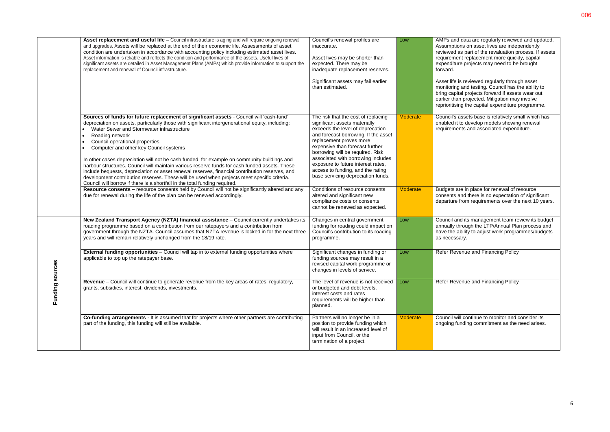|                         | Asset replacement and useful life - Council infrastructure is aging and will require ongoing renewal<br>and upgrades. Assets will be replaced at the end of their economic life. Assessments of asset<br>condition are undertaken in accordance with accounting policy including estimated asset lives.<br>Asset information is reliable and reflects the condition and performance of the assets. Useful lives of<br>significant assets are detailed in Asset Management Plans (AMPs) which provide information to support the<br>replacement and renewal of Council infrastructure.                                                                                                                                                                                                                                   | Council's renewal profiles are<br>inaccurate.<br>Asset lives may be shorter than<br>expected. There may be<br>inadequate replacement reserves.<br>Significant assets may fail earlier<br>than estimated.                                                                                                                                                                                                  | Low             | AMPs and data are regularly reviewe<br>Assumptions on asset lives are indep<br>reviewed as part of the revaluation p<br>requirement replacement more quick<br>expenditure projects may need to be<br>forward.<br>Asset life is reviewed regularly through<br>monitoring and testing. Council has t<br>bring capital projects forward if asset<br>earlier than projected. Mitigation may<br>reprioritising the capital expenditure |
|-------------------------|-------------------------------------------------------------------------------------------------------------------------------------------------------------------------------------------------------------------------------------------------------------------------------------------------------------------------------------------------------------------------------------------------------------------------------------------------------------------------------------------------------------------------------------------------------------------------------------------------------------------------------------------------------------------------------------------------------------------------------------------------------------------------------------------------------------------------|-----------------------------------------------------------------------------------------------------------------------------------------------------------------------------------------------------------------------------------------------------------------------------------------------------------------------------------------------------------------------------------------------------------|-----------------|-----------------------------------------------------------------------------------------------------------------------------------------------------------------------------------------------------------------------------------------------------------------------------------------------------------------------------------------------------------------------------------------------------------------------------------|
|                         | Sources of funds for future replacement of significant assets - Council will 'cash-fund'<br>depreciation on assets, particularly those with significant intergenerational equity, including:<br>Water Sewer and Stormwater infrastructure<br>Roading network<br>Council operational properties<br>Computer and other key Council systems<br>In other cases depreciation will not be cash funded, for example on community buildings and<br>harbour structures. Council will maintain various reserve funds for cash funded assets. These<br>include bequests, depreciation or asset renewal reserves, financial contribution reserves, and<br>development contribution reserves. These will be used when projects meet specific criteria.<br>Council will borrow if there is a shortfall in the total funding required. | The risk that the cost of replacing<br>significant assets materially<br>exceeds the level of deprecation<br>and forecast borrowing. If the asset<br>replacement proves more<br>expensive than forecast further<br>borrowing will be required. Risk<br>associated with borrowing includes<br>exposure to future interest rates,<br>access to funding, and the rating<br>base servicing depreciation funds. | <b>Moderate</b> | Council's assets base is relatively sn<br>enabled it to develop models showin<br>requirements and associated expend                                                                                                                                                                                                                                                                                                               |
|                         | Resource consents - resource consents held by Council will not be significantly altered and any<br>due for renewal during the life of the plan can be renewed accordingly.                                                                                                                                                                                                                                                                                                                                                                                                                                                                                                                                                                                                                                              | Conditions of resource consents<br>altered and significant new<br>compliance costs or consents<br>cannot be renewed as expected.                                                                                                                                                                                                                                                                          | <b>Moderate</b> | Budgets are in place for renewal of re<br>consents and there is no expectation<br>departure from requirements over the                                                                                                                                                                                                                                                                                                            |
|                         | New Zealand Transport Agency (NZTA) financial assistance - Council currently undertakes its<br>roading programme based on a contribution from our ratepayers and a contribution from<br>government through the NZTA. Council assumes that NZTA revenue is locked in for the next three<br>years and will remain relatively unchanged from the 18/19 rate.                                                                                                                                                                                                                                                                                                                                                                                                                                                               | Changes in central government<br>funding for roading could impact on<br>Council's contribution to its roading<br>programme.                                                                                                                                                                                                                                                                               | Low             | Council and its management team re<br>annually through the LTP/Annual Pla<br>have the ability to adjust work progra<br>as necessary.                                                                                                                                                                                                                                                                                              |
| ဖ<br>ø<br>Funding sourc | <b>External funding opportunities</b> - Council will tap in to external funding opportunities where<br>applicable to top up the ratepayer base.                                                                                                                                                                                                                                                                                                                                                                                                                                                                                                                                                                                                                                                                         | Significant changes in funding or<br>funding sources may result in a<br>revised capital work programme or<br>changes in levels of service.                                                                                                                                                                                                                                                                | Low             | Refer Revenue and Financing Policy                                                                                                                                                                                                                                                                                                                                                                                                |
|                         | Revenue - Council will continue to generate revenue from the key areas of rates, regulatory,<br>grants, subsidies, interest, dividends, investments.                                                                                                                                                                                                                                                                                                                                                                                                                                                                                                                                                                                                                                                                    | The level of revenue is not received<br>or budgeted and debt levels,<br>interest costs and rates<br>requirements will be higher than<br>planned.                                                                                                                                                                                                                                                          | Low             | Refer Revenue and Financing Policy                                                                                                                                                                                                                                                                                                                                                                                                |
|                         | Co-funding arrangements - It is assumed that for projects where other partners are contributing<br>part of the funding, this funding will still be available.                                                                                                                                                                                                                                                                                                                                                                                                                                                                                                                                                                                                                                                           | Partners will no longer be in a<br>position to provide funding which<br>will result in an increased level of<br>input from Council, or the<br>termination of a project.                                                                                                                                                                                                                                   | Moderate        | Council will continue to monitor and<br>ongoing funding commitment as the                                                                                                                                                                                                                                                                                                                                                         |
|                         |                                                                                                                                                                                                                                                                                                                                                                                                                                                                                                                                                                                                                                                                                                                                                                                                                         |                                                                                                                                                                                                                                                                                                                                                                                                           |                 |                                                                                                                                                                                                                                                                                                                                                                                                                                   |

| Low             | AMPs and data are regularly reviewed and updated.<br>Assumptions on asset lives are independently<br>reviewed as part of the revaluation process. If assets<br>requirement replacement more quickly, capital<br>expenditure projects may need to be brought<br>forward.<br>Asset life is reviewed regularly through asset |
|-----------------|---------------------------------------------------------------------------------------------------------------------------------------------------------------------------------------------------------------------------------------------------------------------------------------------------------------------------|
|                 | monitoring and testing. Council has the ability to<br>bring capital projects forward if assets wear out<br>earlier than projected. Mitigation may involve<br>reprioritising the capital expenditure programme.                                                                                                            |
| <b>Moderate</b> | Council's assets base is relatively small which has<br>enabled it to develop models showing renewal<br>requirements and associated expenditure.                                                                                                                                                                           |
| <b>Moderate</b> | Budgets are in place for renewal of resource<br>consents and there is no expectation of significant<br>departure from requirements over the next 10 years.                                                                                                                                                                |
| Low             | Council and its management team review its budget<br>annually through the LTP/Annual Plan process and<br>have the ability to adjust work programmes/budgets<br>as necessary.                                                                                                                                              |
| Low             | Refer Revenue and Financing Policy                                                                                                                                                                                                                                                                                        |
| Low             | Refer Revenue and Financing Policy                                                                                                                                                                                                                                                                                        |
| <b>Moderate</b> | Council will continue to monitor and consider its<br>ongoing funding commitment as the need arises.                                                                                                                                                                                                                       |